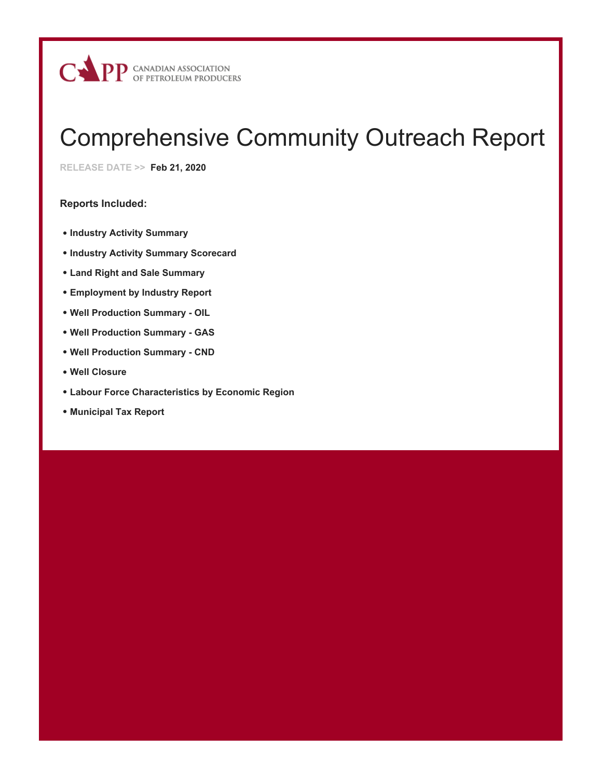

# Comprehensive Community Outreach Report

**RELEASE DATE >> Feb 21, 2020**

## **Reports Included:**

- **Industry Activity Summary**
- **Industry Activity Summary Scorecard**
- **Land Right and Sale Summary**
- **Employment by Industry Report**
- **Well Production Summary OIL**
- **Well Production Summary GAS**
- **Well Production Summary CND**
- **Well Closure**
- **Labour Force Characteristics by Economic Region**
- **Municipal Tax Report**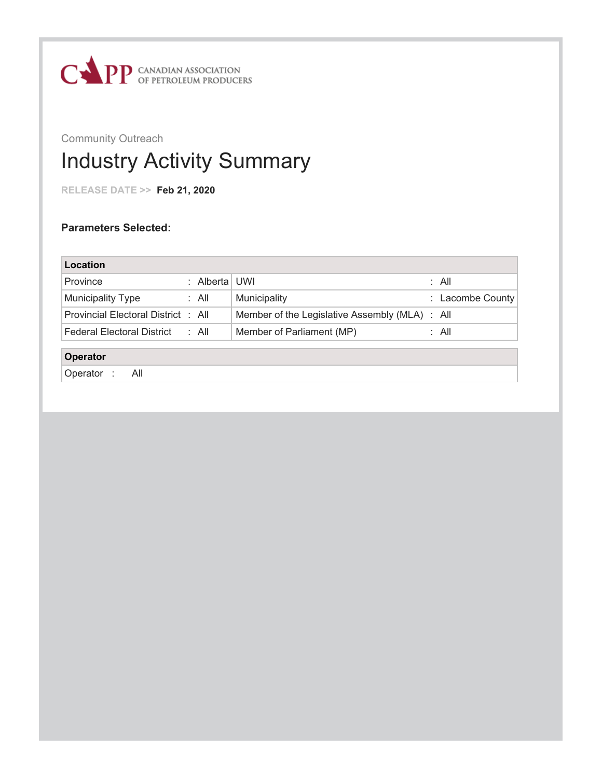

## Community Outreach Industry Activity Summary

**RELEASE DATE >> Feb 21, 2020**

| Location                            |             |                                                |                  |
|-------------------------------------|-------------|------------------------------------------------|------------------|
| Province                            | : Alberta l | UWI                                            | : All            |
| <b>Municipality Type</b>            | : All       | Municipality                                   | : Lacombe County |
| Provincial Electoral District : All |             | Member of the Legislative Assembly (MLA) : All |                  |
| <b>Federal Electoral District</b>   | : All       | Member of Parliament (MP)                      | : All            |
| Operator                            |             |                                                |                  |
| Operator:<br>All                    |             |                                                |                  |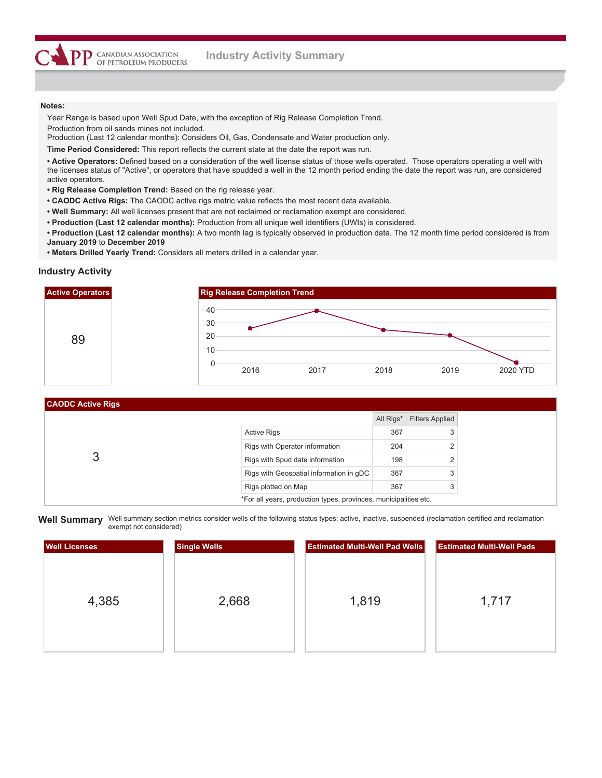Year Range is based upon Well Spud Date, with the exception of Rig Release Completion Trend. Production from oil sands mines not included.

Production (Last 12 calendar months): Considers Oil, Gas, Condensate and Water production only.

**Time Period Considered:** This report reflects the current state at the date the report was run.

**• Active Operators:** Defined based on a consideration of the well license status of those wells operated. Those operators operating a well with the licenses status of "Active", or operators that have spudded a well in the 12 month period ending the date the report was run, are considered active operators.

**• Rig Release Completion Trend:** Based on the rig release year.

**DD** CANADIAN ASSOCIATION OF PETROLEUM PRODUCERS

- **CAODC Active Rigs:** The CAODC active rigs metric value reflects the most recent data available.
- **Well Summary:** All well licenses present that are not reclaimed or reclamation exempt are considered.
- **Production (Last 12 calendar months):** Production from all unique well identifiers (UWIs) is considered.
- **Production (Last 12 calendar months):** A two month lag is typically observed in production data. The 12 month time period considered is from **January 2019** to **December 2019**
- **Meters Drilled Yearly Trend:** Considers all meters drilled in a calendar year.

#### **Industry Activity**

CAODC A



| I UAUDU ALIIVE NIYS |                                                                  |           |                        |
|---------------------|------------------------------------------------------------------|-----------|------------------------|
|                     |                                                                  | All Rigs* | <b>Filters Applied</b> |
|                     | <b>Active Rigs</b>                                               | 367       | 3                      |
|                     | Rigs with Operator information                                   | 204       | 2                      |
|                     | Rigs with Spud date information                                  | 198       | 2                      |
|                     | Rigs with Geospatial information in qDC                          | 367       | 3                      |
|                     | Rigs plotted on Map                                              | 367       | 3                      |
|                     | *For all years, production types, provinces, municipalities etc. |           |                        |

Well Summary Well summary section metrics consider wells of the following status types; active, inactive, suspended (reclamation certified and reclamation exempt not considered)

| <b>Well Licenses</b> | <b>Single Wells</b> | <b>Estimated Multi-Well Pad Wells</b> | <b>Estimated Multi-Well Pads</b> |
|----------------------|---------------------|---------------------------------------|----------------------------------|
| 4,385                | 2,668               | 1,819                                 | 1,717                            |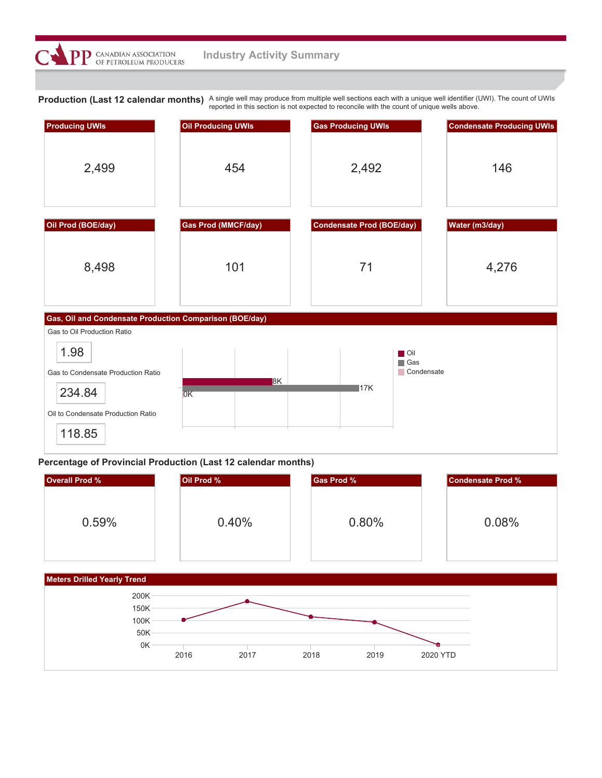

Production (Last 12 calendar months) A single well may produce from multiple well sections each with a unique well identifier (UWI). The count of UWIs reported in this section is not expected to reconcile with the count of unique wells above.



## **Percentage of Provincial Production (Last 12 calendar months)**

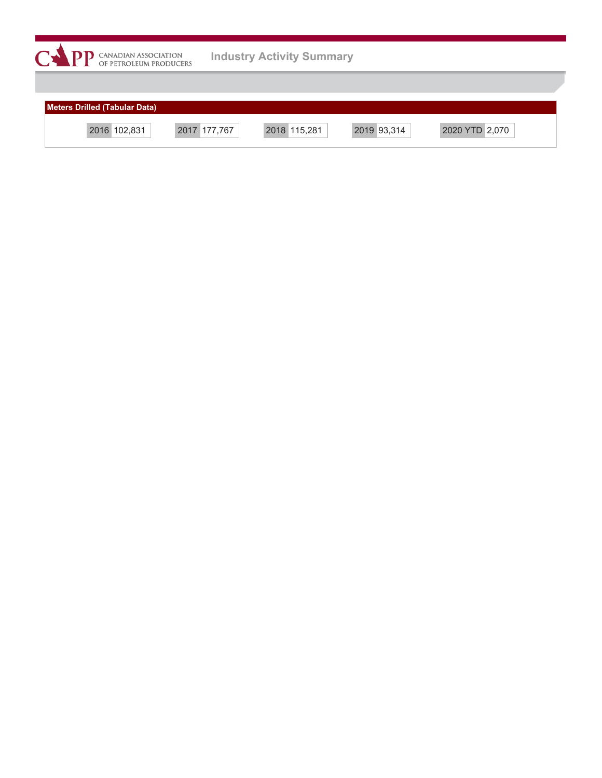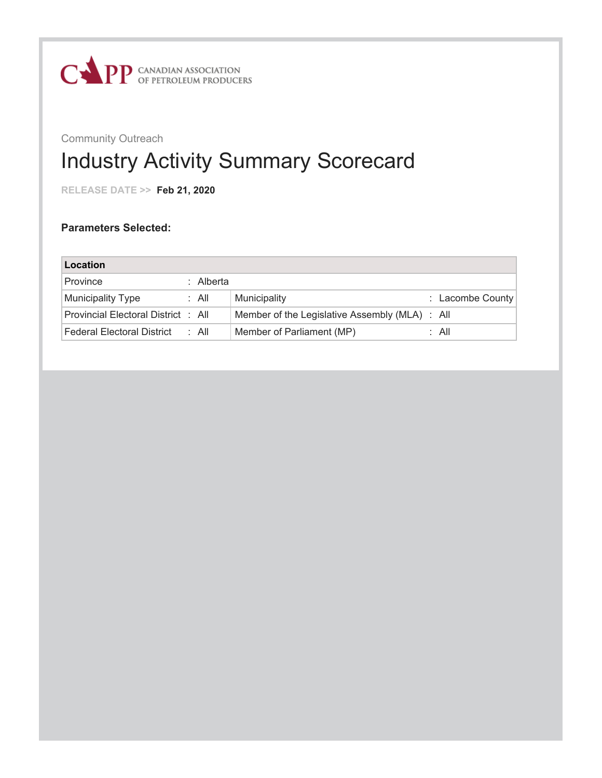

## Industry Activity Summary Scorecard

**RELEASE DATE >> Feb 21, 2020**

| Location                            |           |                                                |                  |
|-------------------------------------|-----------|------------------------------------------------|------------------|
| Province                            | ∴ Alberta |                                                |                  |
| <b>Municipality Type</b>            | : All     | Municipality                                   | : Lacombe County |
| Provincial Electoral District : All |           | Member of the Legislative Assembly (MLA) : All |                  |
| <b>Federal Electoral District</b>   | : All     | Member of Parliament (MP)                      | : All            |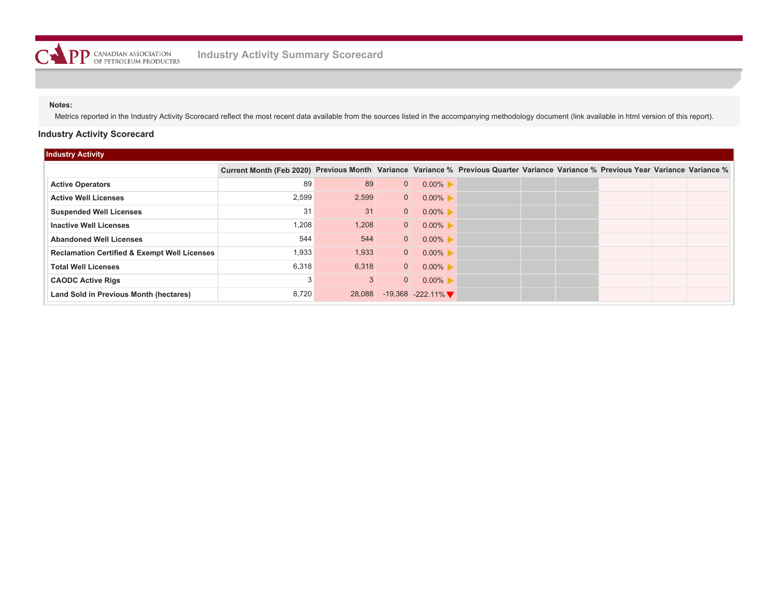Metrics reported in the Industry Activity Scorecard reflect the most recent data available from the sources listed in the accompanying methodology document (link available in html version of this report).

## **Industry Activity Scorecard**

| <b>Industry Activity</b>                                |                                                                                                                                    |        |                |                     |  |  |  |
|---------------------------------------------------------|------------------------------------------------------------------------------------------------------------------------------------|--------|----------------|---------------------|--|--|--|
|                                                         | Current Month (Feb 2020) Previous Month Variance Variance % Previous Quarter Variance Variance % Previous Year Variance Variance % |        |                |                     |  |  |  |
| <b>Active Operators</b>                                 | 89                                                                                                                                 | 89     | $\overline{0}$ | $0.00\%$            |  |  |  |
| <b>Active Well Licenses</b>                             | 2,599                                                                                                                              | 2,599  | $\overline{0}$ | $0.00\%$            |  |  |  |
| <b>Suspended Well Licenses</b>                          | 31                                                                                                                                 | 31     | $\overline{0}$ | $0.00\%$            |  |  |  |
| <b>Inactive Well Licenses</b>                           | 1,208                                                                                                                              | 1,208  | $\overline{0}$ | $0.00\%$            |  |  |  |
| <b>Abandoned Well Licenses</b>                          | 544                                                                                                                                | 544    | $\overline{0}$ | $0.00\%$            |  |  |  |
| <b>Reclamation Certified &amp; Exempt Well Licenses</b> | 1,933                                                                                                                              | 1,933  | $\overline{0}$ | $0.00\%$            |  |  |  |
| <b>Total Well Licenses</b>                              | 6,318                                                                                                                              | 6,318  | $\overline{0}$ | $0.00\%$            |  |  |  |
| <b>CAODC Active Rigs</b>                                | 3                                                                                                                                  | 3      | $\overline{0}$ | $0.00\%$            |  |  |  |
| Land Sold in Previous Month (hectares)                  | 8,720                                                                                                                              | 28,088 |                | $-19,368 -222.11\%$ |  |  |  |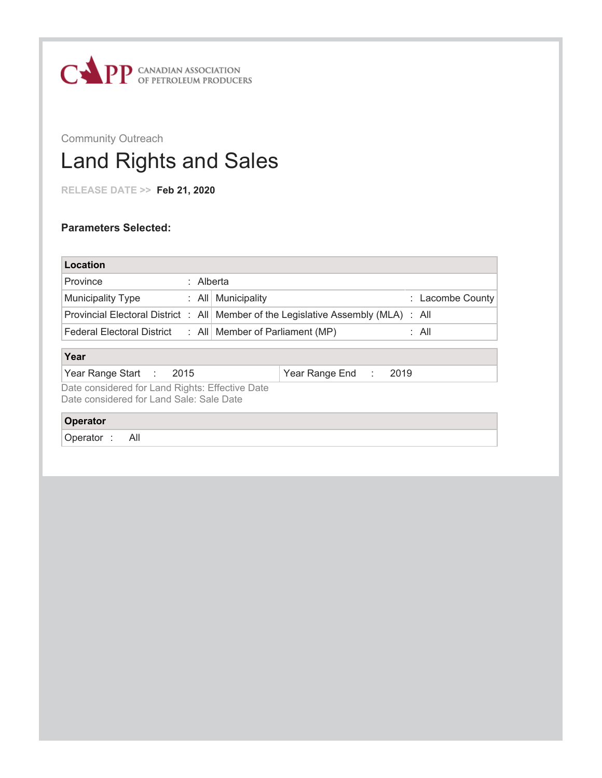

# Land Rights and Sales

**RELEASE DATE >> Feb 21, 2020**

| Location                                                                                    |                                                                                      |                  |
|---------------------------------------------------------------------------------------------|--------------------------------------------------------------------------------------|------------------|
| Province<br>: Alberta                                                                       |                                                                                      |                  |
| <b>Municipality Type</b>                                                                    | $\therefore$ All   Municipality                                                      | : Lacombe County |
|                                                                                             | Provincial Electoral District : All   Member of the Legislative Assembly (MLA) : All |                  |
| Federal Electoral District : All Member of Parliament (MP)                                  |                                                                                      | : All            |
| Year                                                                                        |                                                                                      |                  |
| Year Range Start : 2015                                                                     | Year Range End :<br>2019                                                             |                  |
| Date considered for Land Rights: Effective Date<br>Date considered for Land Sale: Sale Date |                                                                                      |                  |
| Operator                                                                                    |                                                                                      |                  |
| - All<br>Operator:                                                                          |                                                                                      |                  |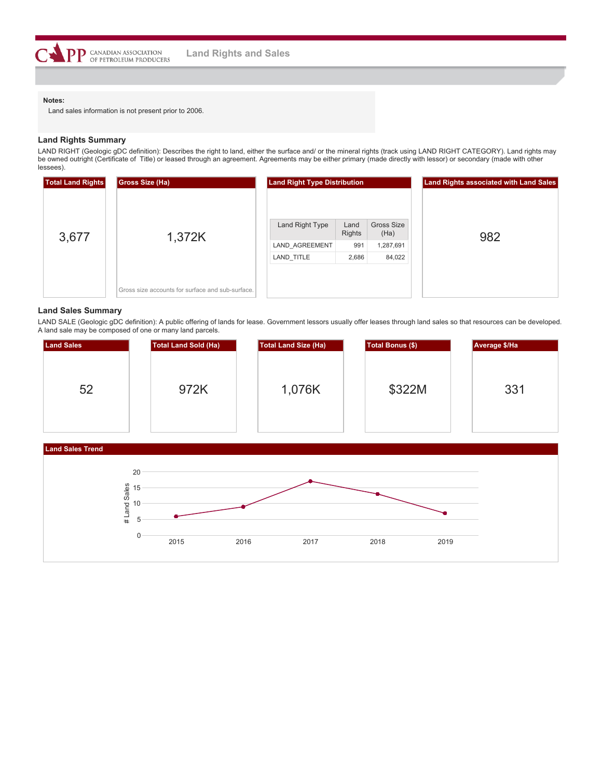

Land sales information is not present prior to 2006.

#### **Land Rights Summary**

LAND RIGHT (Geologic gDC definition): Describes the right to land, either the surface and/ or the mineral rights (track using LAND RIGHT CATEGORY). Land rights may be owned outright (Certificate of Title) or leased through an agreement. Agreements may be either primary (made directly with lessor) or secondary (made with other lessees).

| <b>Total Land Rights</b> | Gross Size (Ha)                                  | <b>Land Right Type Distribution</b> |                       |                    | <b>Land Rights associated with Land Sales</b> |
|--------------------------|--------------------------------------------------|-------------------------------------|-----------------------|--------------------|-----------------------------------------------|
| 3,677                    | 1,372K                                           | Land Right Type                     | Land<br><b>Rights</b> | Gross Size<br>(Ha) | 982                                           |
|                          |                                                  | LAND AGREEMENT                      | 991                   | 1,287,691          |                                               |
|                          |                                                  | LAND TITLE                          | 2,686                 | 84,022             |                                               |
|                          | Gross size accounts for surface and sub-surface. |                                     |                       |                    |                                               |

#### **Land Sales Summary**

LAND SALE (Geologic gDC definition): A public offering of lands for lease. Government lessors usually offer leases through land sales so that resources can be developed. A land sale may be composed of one or many land parcels.

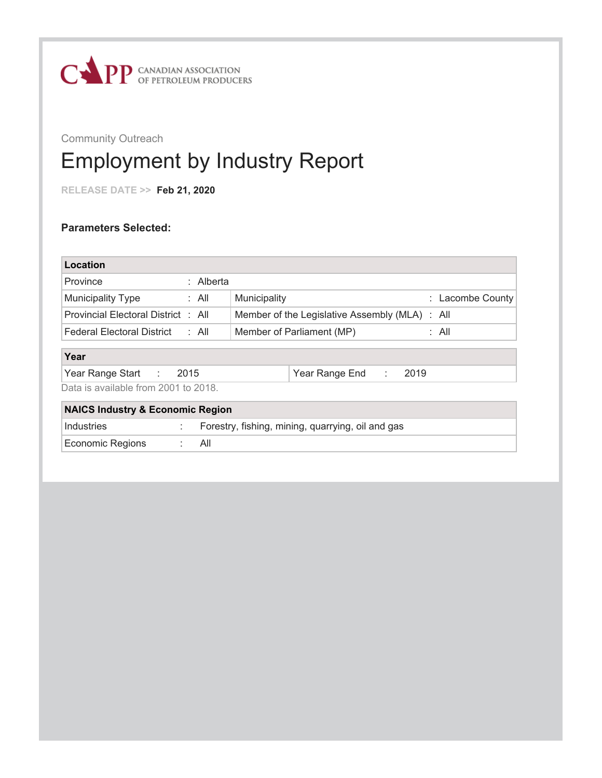

## Employment by Industry Report

**RELEASE DATE >> Feb 21, 2020**

## **Parameters Selected:**

| Location                                    |           |                                                   |      |                  |
|---------------------------------------------|-----------|---------------------------------------------------|------|------------------|
| Province                                    | : Alberta |                                                   |      |                  |
| <b>Municipality Type</b>                    | : All     | Municipality                                      |      | : Lacombe County |
| Provincial Electoral District : All         |           | Member of the Legislative Assembly (MLA) : All    |      |                  |
| Federal Electoral District : All            |           | Member of Parliament (MP)                         |      | : All            |
|                                             |           |                                                   |      |                  |
| Year                                        |           |                                                   |      |                  |
| Year Range Start :                          | 2015      | Year Range End:                                   | 2019 |                  |
| Data is available from 2001 to 2018.        |           |                                                   |      |                  |
| <b>NAICS Industry &amp; Economic Region</b> |           |                                                   |      |                  |
| Industries                                  |           | Forestry, fishing, mining, quarrying, oil and gas |      |                  |

Economic Regions : All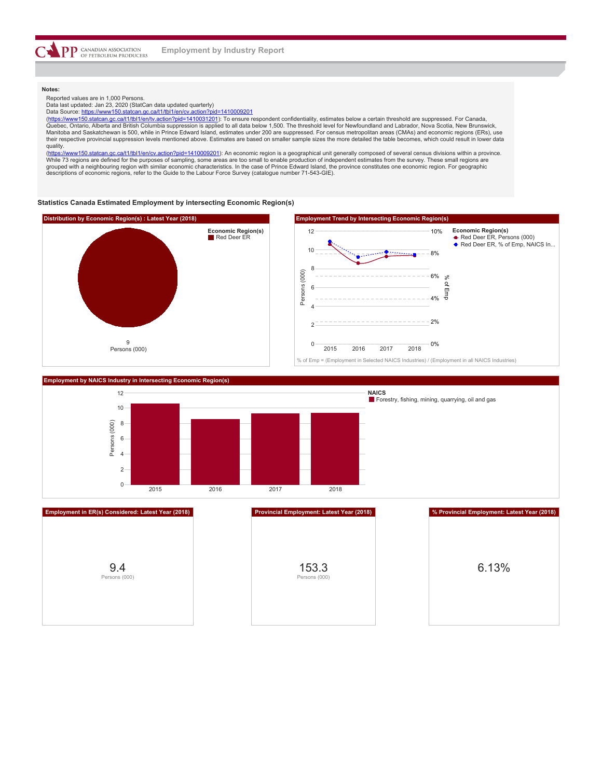

Reported values are in 1,000 Persons.

Data last updated: Jan 23, 2020 (StatCan data updated quarterly) Data Source: <https://www150.statcan.gc.ca/t1/tbl1/en/cv.action?pid=1410009201>

(<https://www150.statcan.gc.ca/t1/tbl1/en/tv.action?pid=1410031201>): To ensure respondent confidentiality, estimates below a certain threshold are suppressed. For Canada, Quebec, Ontario, Alberta and British Columbia suppression is applied to all data below 1,500. The threshold level for Newfoundland and Labrador, Nova Scotia, New Brunswick,<br>Manitoba and Saskatchewan is 500, while in Prince their respective provincial suppression levels mentioned above. Estimates are based on smaller sample sizes the more detailed the table becomes, which could result in lower data

quality.<br>(https:// wv150.statcan.gc.ca/t1/tbl1/en/cv.action?pid=1410009201): An economic region is a geographical unit generally composed of several census divisions within a province. While 73 regions are defined for the purposes of sampling, some areas are too small to enable production of independent estimates from the survey. These small regions are<br>grouped with a neighbouring region with similar eco

#### **Statistics Canada Estimated Employment by intersecting Economic Region(s)**



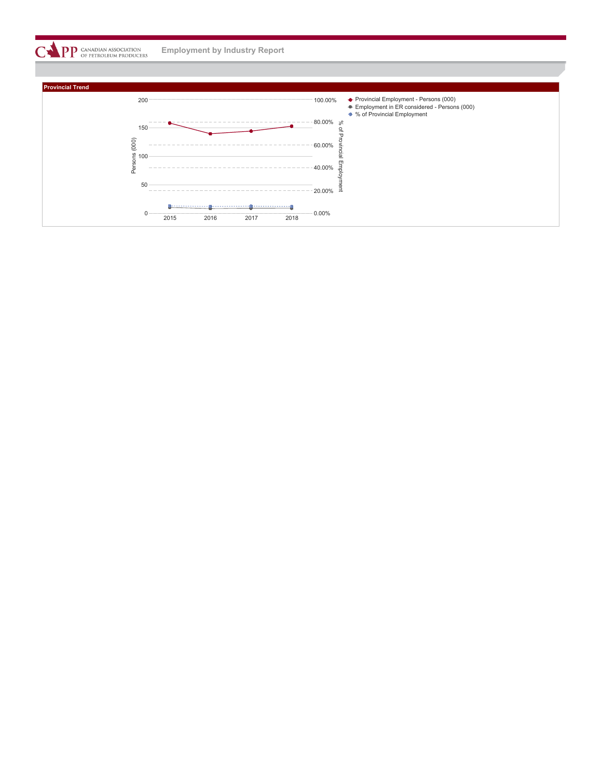**PP** CANADIAN ASSOCIATION **Employment by Industry Report**

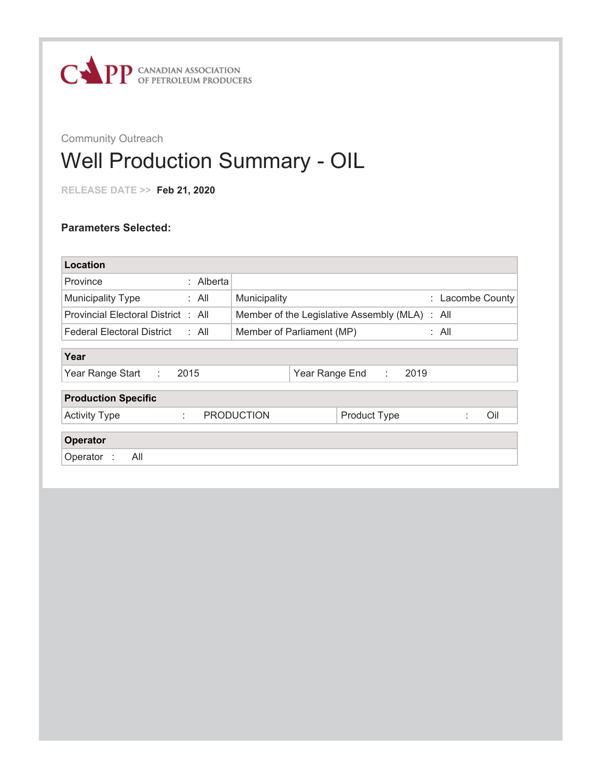

## Well Production Summary - OIL

**RELEASE DATE >> Feb 21, 2020**

| Municipality              |                                |      |                                                         |                  |
|---------------------------|--------------------------------|------|---------------------------------------------------------|------------------|
|                           |                                |      |                                                         |                  |
| Member of Parliament (MP) |                                |      |                                                         |                  |
|                           |                                |      |                                                         |                  |
| Year Range End :          |                                |      |                                                         |                  |
|                           |                                |      |                                                         |                  |
| <b>Product Type</b>       |                                |      | Oil                                                     |                  |
|                           |                                |      |                                                         |                  |
|                           |                                |      |                                                         |                  |
|                           |                                |      |                                                         |                  |
|                           | : Alberta<br><b>PRODUCTION</b> | 2019 | Member of the Legislative Assembly (MLA) : All<br>: All | : Lacombe County |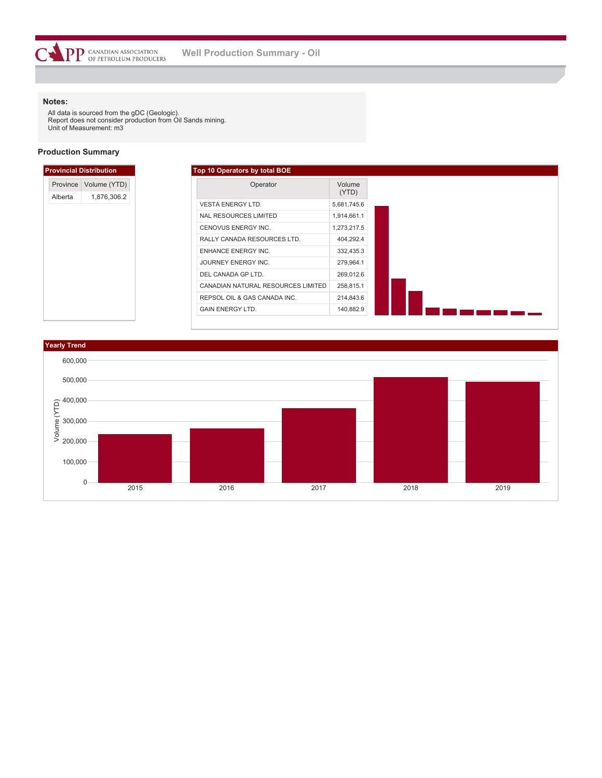$\overline{C}$ 

All data is sourced from the gDC (Geologic). Report does not consider production from Oil Sands mining. Unit of Measurement: m3

 $\mathbf{PP}$  canadian association<br>of petroleum producers

### **Production Summary**

|                     | <b>Provincial Distribution</b> |
|---------------------|--------------------------------|
| Province<br>Alberta | Volume (YTD)<br>1,876,306.2    |
|                     |                                |
|                     |                                |
|                     |                                |
|                     |                                |
|                     |                                |
|                     |                                |
|                     |                                |
|                     |                                |
|                     |                                |
|                     |                                |

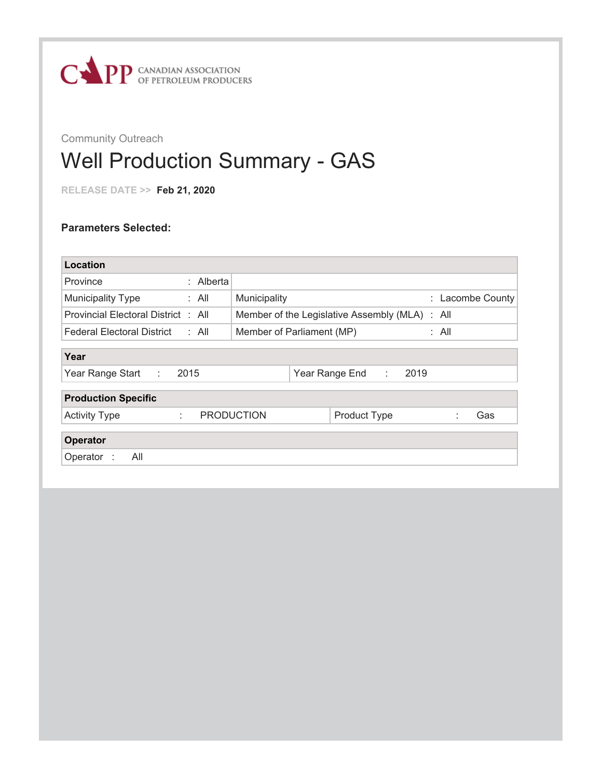

## Well Production Summary - GAS

**RELEASE DATE >> Feb 21, 2020**

| Location                                   |           |                           |                                          |                  |
|--------------------------------------------|-----------|---------------------------|------------------------------------------|------------------|
| Province                                   | : Alberta |                           |                                          |                  |
| <b>Municipality Type</b>                   | : All     | Municipality              |                                          | : Lacombe County |
| Provincial Electoral District : All        |           |                           | Member of the Legislative Assembly (MLA) | : All            |
| <b>Federal Electoral District</b><br>: All |           | Member of Parliament (MP) |                                          | : All            |
|                                            |           |                           |                                          |                  |
| Year                                       |           |                           |                                          |                  |
| 2015<br>Year Range Start<br>÷.             |           |                           | 2019<br>Year Range End<br>÷              |                  |
| <b>Production Specific</b>                 |           |                           |                                          |                  |
|                                            |           |                           |                                          |                  |
| <b>Activity Type</b><br>÷                  |           | <b>PRODUCTION</b>         | Product Type                             | Gas              |
|                                            |           |                           |                                          |                  |
| <b>Operator</b>                            |           |                           |                                          |                  |
| All<br>Operator :                          |           |                           |                                          |                  |
|                                            |           |                           |                                          |                  |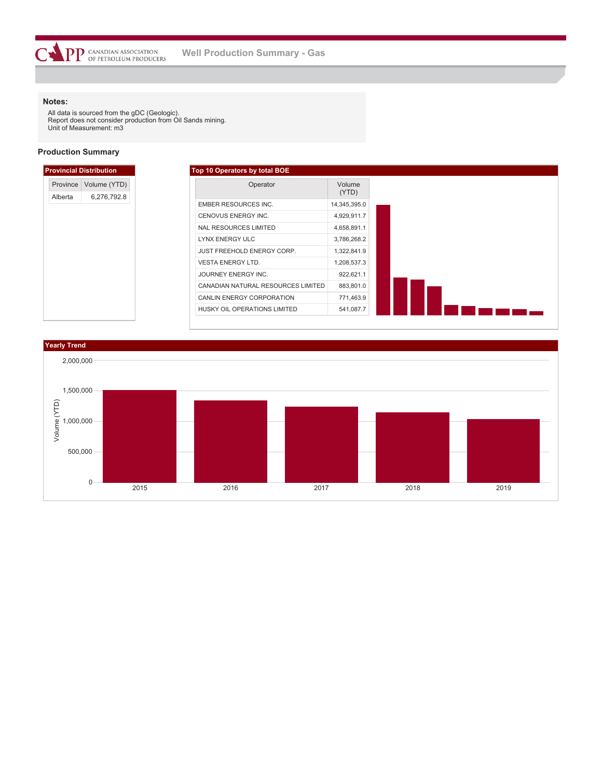All data is sourced from the gDC (Geologic). Report does not consider production from Oil Sands mining. Unit of Measurement: m3

### **Production Summary**

**COPP** CANADIAN ASSOCIATION

|                     | <b>Provincial Distribution</b> |
|---------------------|--------------------------------|
| Province<br>Alberta | Volume (YTD)<br>6,276,792.8    |
|                     |                                |
|                     |                                |
|                     |                                |
|                     |                                |
|                     |                                |
|                     |                                |
|                     |                                |
|                     |                                |
|                     |                                |
|                     |                                |

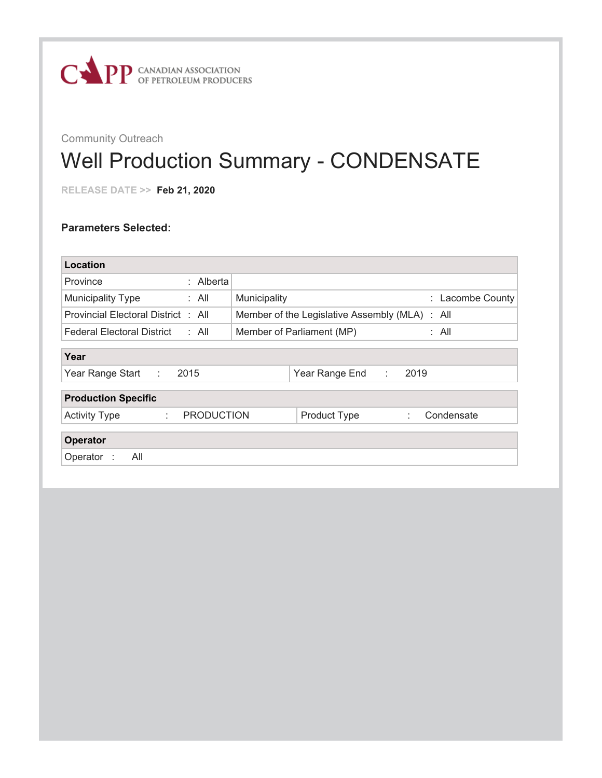

## Well Production Summary - CONDENSATE

**RELEASE DATE >> Feb 21, 2020**

| Location                                        |                                    |                                          |           |                  |  |  |  |
|-------------------------------------------------|------------------------------------|------------------------------------------|-----------|------------------|--|--|--|
| : Alberta<br>Province                           |                                    |                                          |           |                  |  |  |  |
| <b>Municipality Type</b><br>: All               | Municipality                       |                                          |           | : Lacombe County |  |  |  |
| Provincial Electoral District : All             |                                    | Member of the Legislative Assembly (MLA) |           | : All            |  |  |  |
| : All<br><b>Federal Electoral District</b>      | Member of Parliament (MP)<br>: All |                                          |           |                  |  |  |  |
| Year                                            |                                    |                                          |           |                  |  |  |  |
| Year Range Start<br>2015<br>tion.               |                                    | Year Range End                           | 2019<br>÷ |                  |  |  |  |
| <b>Production Specific</b>                      |                                    |                                          |           |                  |  |  |  |
| <b>PRODUCTION</b><br><b>Activity Type</b><br>÷. |                                    | Product Type                             | ÷         | Condensate       |  |  |  |
| Operator                                        |                                    |                                          |           |                  |  |  |  |
| All<br>Operator :                               |                                    |                                          |           |                  |  |  |  |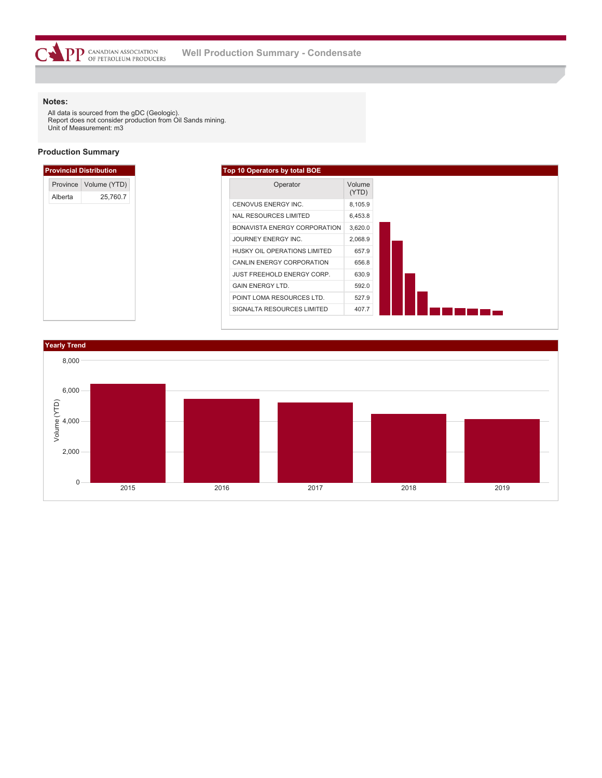All data is sourced from the gDC (Geologic). Report does not consider production from Oil Sands mining. Unit of Measurement: m3

### **Production Summary**



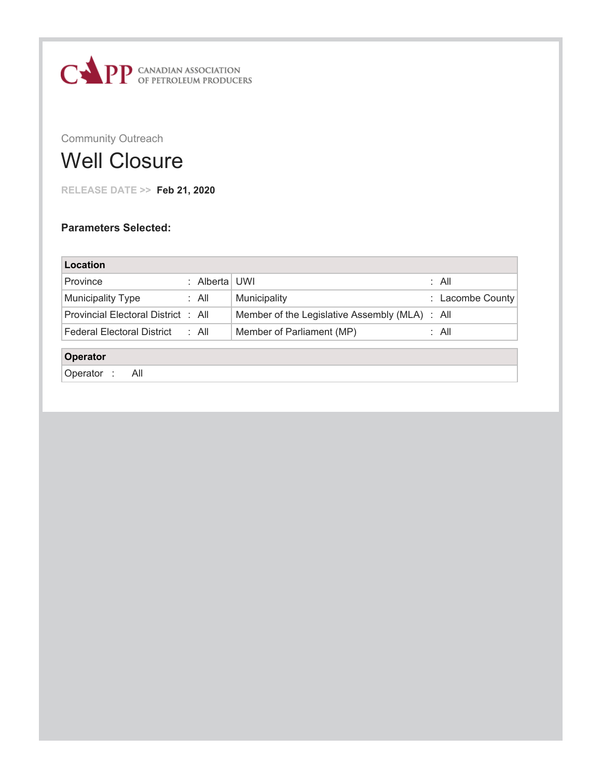

## Well Closure

**RELEASE DATE >> Feb 21, 2020**

| Location                            |               |                                                |                  |
|-------------------------------------|---------------|------------------------------------------------|------------------|
| Province                            | : Alberta UWI |                                                | : All            |
| Municipality Type                   | : All         | Municipality                                   | : Lacombe County |
| Provincial Electoral District : All |               | Member of the Legislative Assembly (MLA) : All |                  |
| <b>Federal Electoral District</b>   | : All         | Member of Parliament (MP)                      | : All            |
| Operator                            |               |                                                |                  |
| Operator:<br>All                    |               |                                                |                  |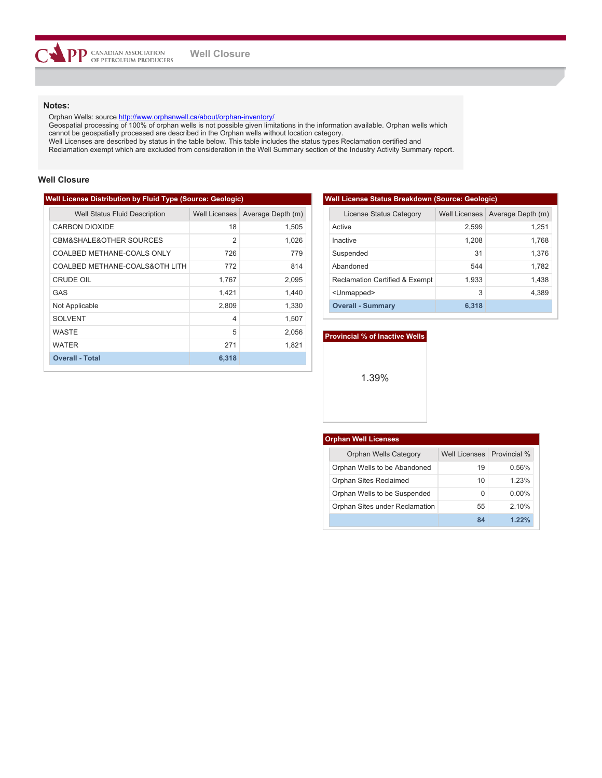Orphan Wells: source <http://www.orphanwell.ca/about/orphan-inventory/>

Geospatial processing of 100% of orphan wells is not possible given limitations in the information available. Orphan wells which cannot be geospatially processed are described in the Orphan wells without location category.

Well Licenses are described by status in the table below. This table includes the status types Reclamation certified and

Reclamation exempt which are excluded from consideration in the Well Summary section of the Industry Activity Summary report.

### **Well Closure**

### **Well License Distribution by Fluid Type (Source: Geologic)**

| <b>Well Status Fluid Description</b>   | Well Licenses            | Average Depth (m) |
|----------------------------------------|--------------------------|-------------------|
| <b>CARBON DIOXIDE</b>                  | 18                       | 1,505             |
| <b>CBM&amp;SHALE&amp;OTHER SOURCES</b> | $\overline{2}$           | 1,026             |
| COALBED METHANE-COALS ONLY             | 726                      | 779               |
| COALBED METHANE-COALS&OTH LITH         | 772                      | 814               |
| CRUDE OIL                              | 1,767                    | 2,095             |
| GAS                                    | 1,421                    | 1.440             |
| Not Applicable                         | 2,809                    | 1,330             |
| <b>SOLVENT</b>                         | $\overline{\mathcal{A}}$ | 1,507             |
| <b>WASTE</b>                           | 5                        | 2,056             |
| <b>WATER</b>                           | 271                      | 1,821             |
| <b>Overall - Total</b>                 | 6,318                    |                   |

| <b>Well License Status Breakdown (Source: Geologic)</b> |                      |                   |  |  |  |  |  |  |
|---------------------------------------------------------|----------------------|-------------------|--|--|--|--|--|--|
| License Status Category                                 | <b>Well Licenses</b> | Average Depth (m) |  |  |  |  |  |  |
| Active                                                  | 2,599                | 1,251             |  |  |  |  |  |  |
| Inactive                                                | 1,208                | 1,768             |  |  |  |  |  |  |
| Suspended                                               | 31                   | 1,376             |  |  |  |  |  |  |
| Abandoned                                               | 544                  | 1,782             |  |  |  |  |  |  |
| <b>Reclamation Certified &amp; Exempt</b>               | 1,933                | 1,438             |  |  |  |  |  |  |
| <unmapped></unmapped>                                   | 3                    | 4,389             |  |  |  |  |  |  |
| <b>Overall - Summary</b>                                | 6.318                |                   |  |  |  |  |  |  |

#### **Provincial % of Inactive Wells**

1.39%

| <b>Orphan Well Licenses</b>    |                            |          |
|--------------------------------|----------------------------|----------|
| Orphan Wells Category          | Well Licenses Provincial % |          |
| Orphan Wells to be Abandoned   | 19                         | 0.56%    |
| Orphan Sites Reclaimed         | 10                         | 123%     |
| Orphan Wells to be Suspended   | O                          | $0.00\%$ |
| Orphan Sites under Reclamation | 55                         | 2.10%    |
|                                | 84                         | $1.22\%$ |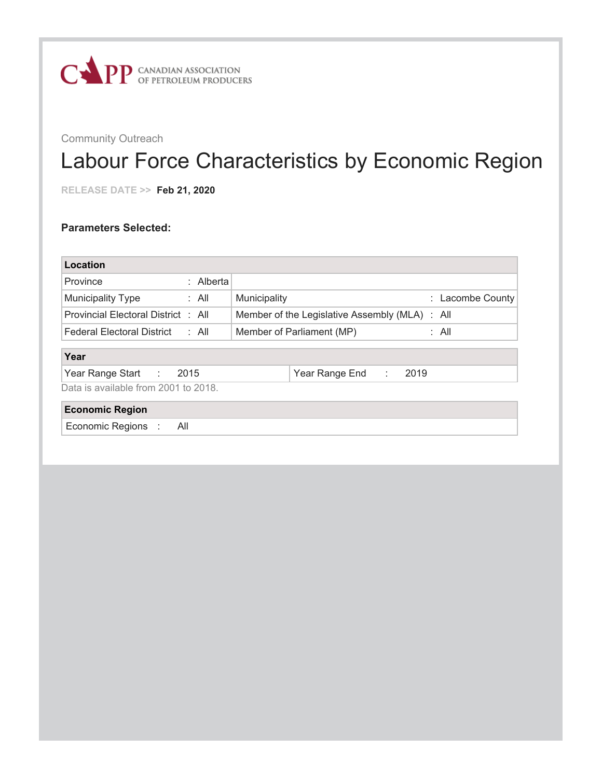

## Labour Force Characteristics by Economic Region

**RELEASE DATE >> Feb 21, 2020**

| Location                                   |                                                |  |  |  |  |  |  |
|--------------------------------------------|------------------------------------------------|--|--|--|--|--|--|
| : Alberta<br>Province                      |                                                |  |  |  |  |  |  |
| <b>Municipality Type</b><br>: All          | Municipality<br>: Lacombe County               |  |  |  |  |  |  |
| Provincial Electoral District : All        | Member of the Legislative Assembly (MLA) : All |  |  |  |  |  |  |
| : All<br><b>Federal Electoral District</b> | : All<br>Member of Parliament (MP)             |  |  |  |  |  |  |
| Year                                       |                                                |  |  |  |  |  |  |
| Year Range Start :<br>2015                 | 2019<br>Year Range End<br>÷.                   |  |  |  |  |  |  |
| Data is available from 2001 to 2018.       |                                                |  |  |  |  |  |  |
| <b>Economic Region</b>                     |                                                |  |  |  |  |  |  |
| Economic Regions :<br>All                  |                                                |  |  |  |  |  |  |
|                                            |                                                |  |  |  |  |  |  |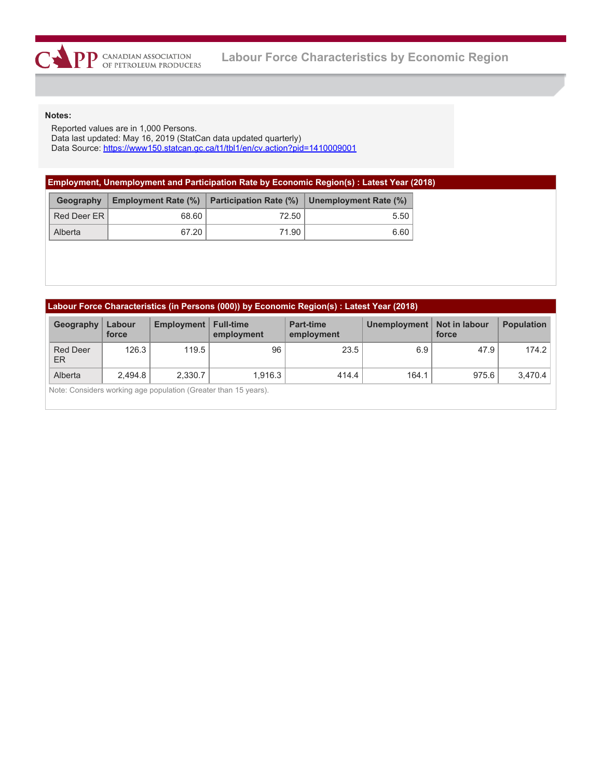Reported values are in 1,000 Persons. Data last updated: May 16, 2019 (StatCan data updated quarterly) Data Source:<https://www150.statcan.gc.ca/t1/tbl1/en/cv.action?pid=1410009001>

|  |  |  |  |  |  |  | Employment, Unemployment and Participation Rate by Economic Region(s) : Latest Year (2018) |  |
|--|--|--|--|--|--|--|--------------------------------------------------------------------------------------------|--|
|  |  |  |  |  |  |  |                                                                                            |  |

| Geography   |       |       | Employment Rate (%) Participation Rate (%) Dnemployment Rate (%) |  |  |
|-------------|-------|-------|------------------------------------------------------------------|--|--|
| Red Deer ER | 68.60 | 72.50 | 5.50                                                             |  |  |
| Alberta     | 67.20 | 71.90 | 6.60                                                             |  |  |

| Labour Force Characteristics (in Persons (000)) by Economic Region(s) : Latest Year (2018) |  |  |
|--------------------------------------------------------------------------------------------|--|--|
|                                                                                            |  |  |

| Geography                                                       | Labour<br>force | Employment   Full-time | employment | <b>Part-time</b><br>employment | Unemployment   Not in labour | force | <b>Population</b> |  |  |
|-----------------------------------------------------------------|-----------------|------------------------|------------|--------------------------------|------------------------------|-------|-------------------|--|--|
| <b>Red Deer</b><br>ER                                           | 126.3           | 119.5                  | 96         | 23.5                           | 6.9                          | 47.9  | 174.2             |  |  |
| Alberta                                                         | 2.494.8         | 2.330.7                | 1.916.3    | 414.4                          | 164.1                        | 975.6 | 3.470.4           |  |  |
| Note: Considers working age population (Greater than 15 years). |                 |                        |            |                                |                              |       |                   |  |  |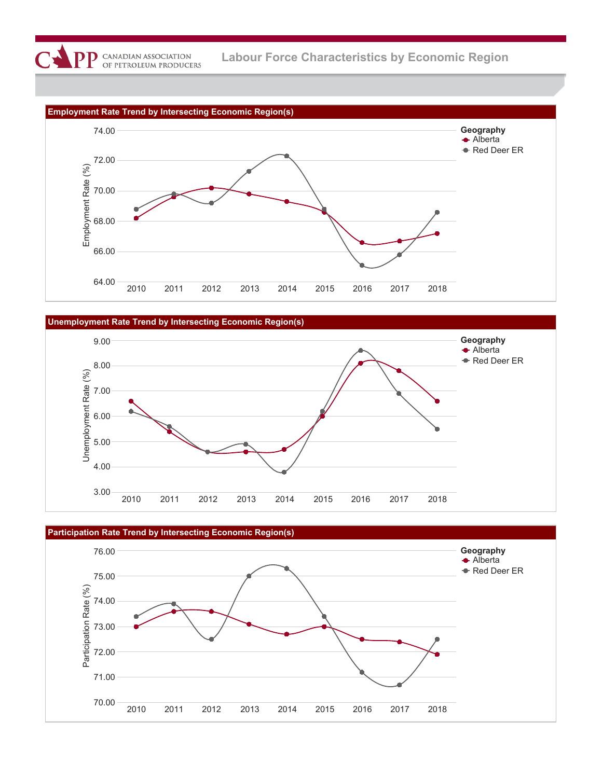





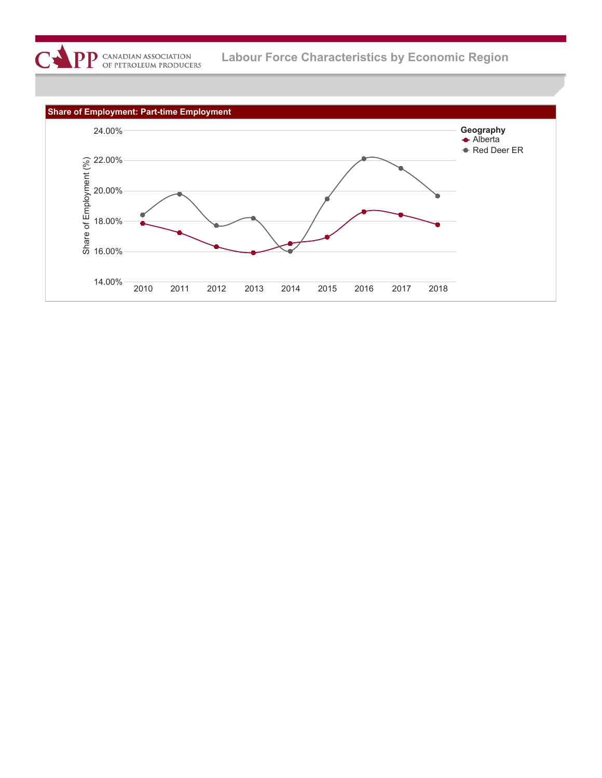

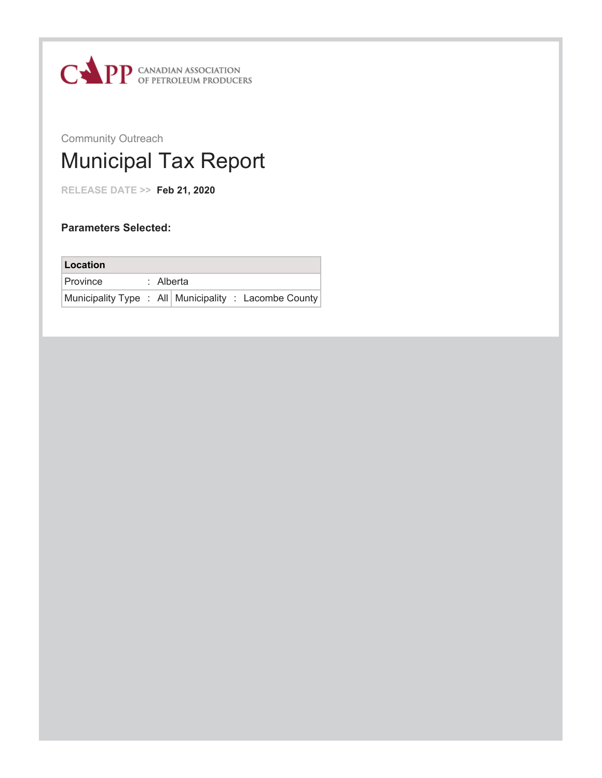

## Community Outreach Municipal Tax Report

**RELEASE DATE >> Feb 21, 2020**

## **Parameters Selected:**

| Location                                                |  |           |  |
|---------------------------------------------------------|--|-----------|--|
| <b>Province</b>                                         |  | : Alberta |  |
| Municipality Type : All   Municipality : Lacombe County |  |           |  |

Residential Municipal Taxes Non-Residential Municipal Taxes

Mill Rate Ratio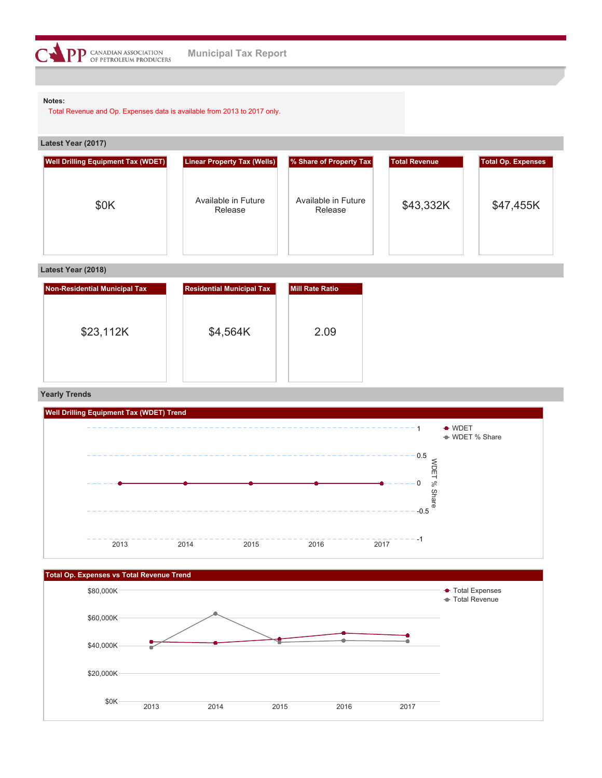

Total Revenue and Op. Expenses data is available from 2013 to 2017 only.

| Latest Year (2017) |  |
|--------------------|--|
|--------------------|--|

| <b>Well Drilling Equipment Tax (WDET)</b> | <b>Linear Property Tax (Wells)</b> | % Share of Property Tax        | <b>Total Revenue</b> | <b>Total Op. Expenses</b> |
|-------------------------------------------|------------------------------------|--------------------------------|----------------------|---------------------------|
| \$0K                                      | Available in Future<br>Release     | Available in Future<br>Release | \$43,332K            | \$47,455K                 |

### **Latest Year (2018)**

| Non-Residential Municipal Tax | <b>Residential Municipal Tax</b> | Mill Rate Ratio |
|-------------------------------|----------------------------------|-----------------|
| \$23,112K                     | \$4,564K                         | 2.09            |
|                               |                                  |                 |

### **Yearly Trends**